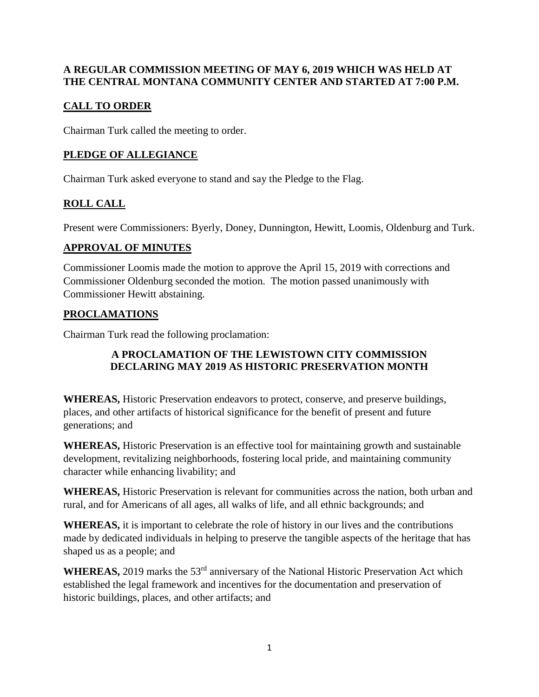#### **A REGULAR COMMISSION MEETING OF MAY 6, 2019 WHICH WAS HELD AT THE CENTRAL MONTANA COMMUNITY CENTER AND STARTED AT 7:00 P.M.**

## **CALL TO ORDER**

Chairman Turk called the meeting to order.

## **PLEDGE OF ALLEGIANCE**

Chairman Turk asked everyone to stand and say the Pledge to the Flag.

# **ROLL CALL**

Present were Commissioners: Byerly, Doney, Dunnington, Hewitt, Loomis, Oldenburg and Turk.

### **APPROVAL OF MINUTES**

Commissioner Loomis made the motion to approve the April 15, 2019 with corrections and Commissioner Oldenburg seconded the motion. The motion passed unanimously with Commissioner Hewitt abstaining.

### **PROCLAMATIONS**

Chairman Turk read the following proclamation:

### **A PROCLAMATION OF THE LEWISTOWN CITY COMMISSION DECLARING MAY 2019 AS HISTORIC PRESERVATION MONTH**

**WHEREAS,** Historic Preservation endeavors to protect, conserve, and preserve buildings, places, and other artifacts of historical significance for the benefit of present and future generations; and

**WHEREAS,** Historic Preservation is an effective tool for maintaining growth and sustainable development, revitalizing neighborhoods, fostering local pride, and maintaining community character while enhancing livability; and

**WHEREAS,** Historic Preservation is relevant for communities across the nation, both urban and rural, and for Americans of all ages, all walks of life, and all ethnic backgrounds; and

**WHEREAS,** it is important to celebrate the role of history in our lives and the contributions made by dedicated individuals in helping to preserve the tangible aspects of the heritage that has shaped us as a people; and

WHEREAS, 2019 marks the 53<sup>rd</sup> anniversary of the National Historic Preservation Act which established the legal framework and incentives for the documentation and preservation of historic buildings, places, and other artifacts; and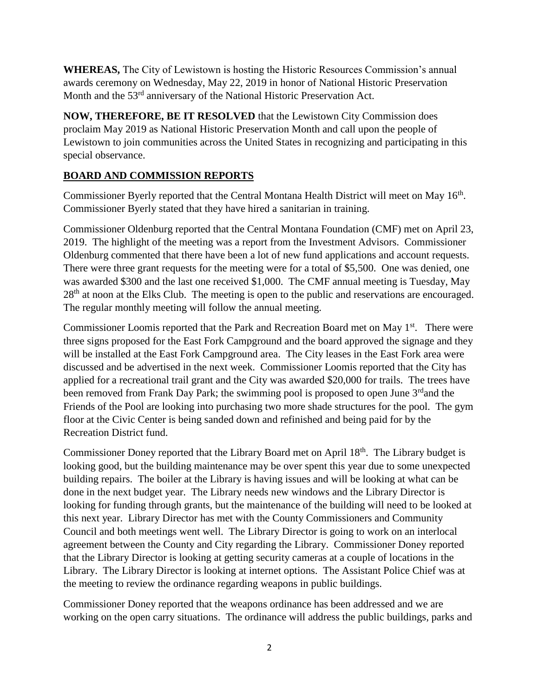**WHEREAS,** The City of Lewistown is hosting the Historic Resources Commission's annual awards ceremony on Wednesday, May 22, 2019 in honor of National Historic Preservation Month and the 53<sup>rd</sup> anniversary of the National Historic Preservation Act.

**NOW, THEREFORE, BE IT RESOLVED** that the Lewistown City Commission does proclaim May 2019 as National Historic Preservation Month and call upon the people of Lewistown to join communities across the United States in recognizing and participating in this special observance.

### **BOARD AND COMMISSION REPORTS**

Commissioner Byerly reported that the Central Montana Health District will meet on May  $16<sup>th</sup>$ . Commissioner Byerly stated that they have hired a sanitarian in training.

Commissioner Oldenburg reported that the Central Montana Foundation (CMF) met on April 23, 2019. The highlight of the meeting was a report from the Investment Advisors. Commissioner Oldenburg commented that there have been a lot of new fund applications and account requests. There were three grant requests for the meeting were for a total of \$5,500. One was denied, one was awarded \$300 and the last one received \$1,000. The CMF annual meeting is Tuesday, May 28<sup>th</sup> at noon at the Elks Club. The meeting is open to the public and reservations are encouraged. The regular monthly meeting will follow the annual meeting.

Commissioner Loomis reported that the Park and Recreation Board met on May 1<sup>st</sup>. There were three signs proposed for the East Fork Campground and the board approved the signage and they will be installed at the East Fork Campground area. The City leases in the East Fork area were discussed and be advertised in the next week. Commissioner Loomis reported that the City has applied for a recreational trail grant and the City was awarded \$20,000 for trails. The trees have been removed from Frank Day Park; the swimming pool is proposed to open June 3<sup>rd</sup>and the Friends of the Pool are looking into purchasing two more shade structures for the pool. The gym floor at the Civic Center is being sanded down and refinished and being paid for by the Recreation District fund.

Commissioner Doney reported that the Library Board met on April 18<sup>th</sup>. The Library budget is looking good, but the building maintenance may be over spent this year due to some unexpected building repairs. The boiler at the Library is having issues and will be looking at what can be done in the next budget year. The Library needs new windows and the Library Director is looking for funding through grants, but the maintenance of the building will need to be looked at this next year. Library Director has met with the County Commissioners and Community Council and both meetings went well. The Library Director is going to work on an interlocal agreement between the County and City regarding the Library. Commissioner Doney reported that the Library Director is looking at getting security cameras at a couple of locations in the Library. The Library Director is looking at internet options. The Assistant Police Chief was at the meeting to review the ordinance regarding weapons in public buildings.

Commissioner Doney reported that the weapons ordinance has been addressed and we are working on the open carry situations. The ordinance will address the public buildings, parks and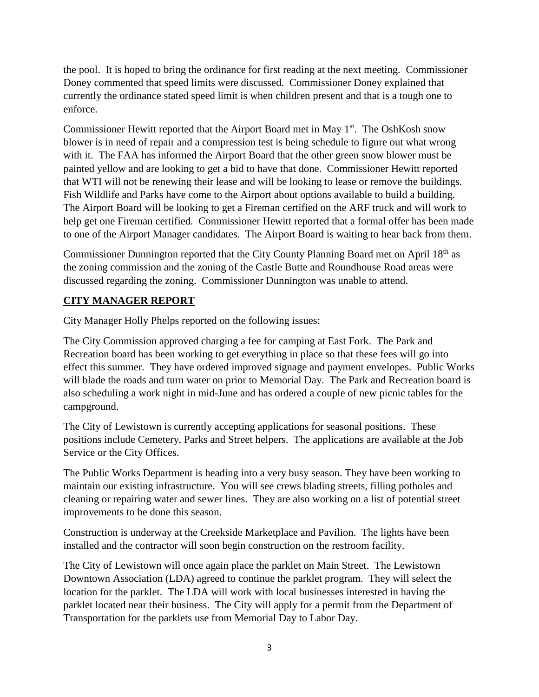the pool. It is hoped to bring the ordinance for first reading at the next meeting. Commissioner Doney commented that speed limits were discussed. Commissioner Doney explained that currently the ordinance stated speed limit is when children present and that is a tough one to enforce.

Commissioner Hewitt reported that the Airport Board met in May  $1<sup>st</sup>$ . The OshKosh snow blower is in need of repair and a compression test is being schedule to figure out what wrong with it. The FAA has informed the Airport Board that the other green snow blower must be painted yellow and are looking to get a bid to have that done. Commissioner Hewitt reported that WTI will not be renewing their lease and will be looking to lease or remove the buildings. Fish Wildlife and Parks have come to the Airport about options available to build a building. The Airport Board will be looking to get a Fireman certified on the ARF truck and will work to help get one Fireman certified. Commissioner Hewitt reported that a formal offer has been made to one of the Airport Manager candidates. The Airport Board is waiting to hear back from them.

Commissioner Dunnington reported that the City County Planning Board met on April 18th as the zoning commission and the zoning of the Castle Butte and Roundhouse Road areas were discussed regarding the zoning. Commissioner Dunnington was unable to attend.

### **CITY MANAGER REPORT**

City Manager Holly Phelps reported on the following issues:

The City Commission approved charging a fee for camping at East Fork. The Park and Recreation board has been working to get everything in place so that these fees will go into effect this summer. They have ordered improved signage and payment envelopes. Public Works will blade the roads and turn water on prior to Memorial Day. The Park and Recreation board is also scheduling a work night in mid-June and has ordered a couple of new picnic tables for the campground.

The City of Lewistown is currently accepting applications for seasonal positions. These positions include Cemetery, Parks and Street helpers. The applications are available at the Job Service or the City Offices.

The Public Works Department is heading into a very busy season. They have been working to maintain our existing infrastructure. You will see crews blading streets, filling potholes and cleaning or repairing water and sewer lines. They are also working on a list of potential street improvements to be done this season.

Construction is underway at the Creekside Marketplace and Pavilion. The lights have been installed and the contractor will soon begin construction on the restroom facility.

The City of Lewistown will once again place the parklet on Main Street. The Lewistown Downtown Association (LDA) agreed to continue the parklet program. They will select the location for the parklet. The LDA will work with local businesses interested in having the parklet located near their business. The City will apply for a permit from the Department of Transportation for the parklets use from Memorial Day to Labor Day.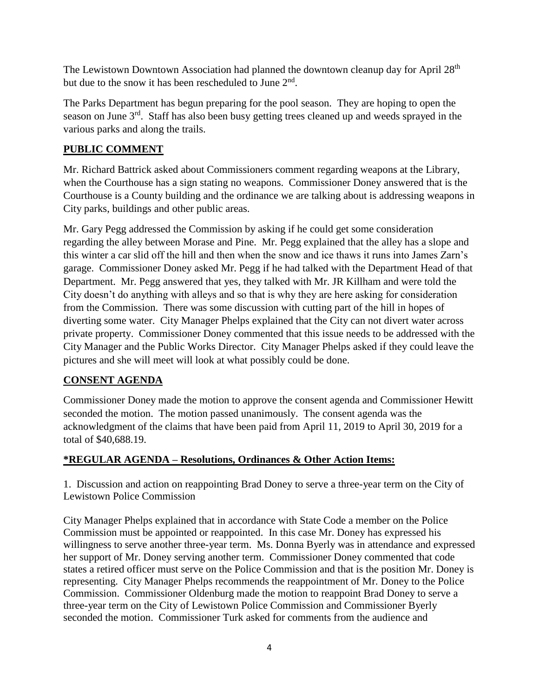The Lewistown Downtown Association had planned the downtown cleanup day for April 28<sup>th</sup> but due to the snow it has been rescheduled to June 2<sup>nd</sup>.

The Parks Department has begun preparing for the pool season. They are hoping to open the season on June 3rd. Staff has also been busy getting trees cleaned up and weeds sprayed in the various parks and along the trails.

### **PUBLIC COMMENT**

Mr. Richard Battrick asked about Commissioners comment regarding weapons at the Library, when the Courthouse has a sign stating no weapons. Commissioner Doney answered that is the Courthouse is a County building and the ordinance we are talking about is addressing weapons in City parks, buildings and other public areas.

Mr. Gary Pegg addressed the Commission by asking if he could get some consideration regarding the alley between Morase and Pine. Mr. Pegg explained that the alley has a slope and this winter a car slid off the hill and then when the snow and ice thaws it runs into James Zarn's garage. Commissioner Doney asked Mr. Pegg if he had talked with the Department Head of that Department. Mr. Pegg answered that yes, they talked with Mr. JR Killham and were told the City doesn't do anything with alleys and so that is why they are here asking for consideration from the Commission. There was some discussion with cutting part of the hill in hopes of diverting some water. City Manager Phelps explained that the City can not divert water across private property. Commissioner Doney commented that this issue needs to be addressed with the City Manager and the Public Works Director. City Manager Phelps asked if they could leave the pictures and she will meet will look at what possibly could be done.

# **CONSENT AGENDA**

Commissioner Doney made the motion to approve the consent agenda and Commissioner Hewitt seconded the motion. The motion passed unanimously. The consent agenda was the acknowledgment of the claims that have been paid from April 11, 2019 to April 30, 2019 for a total of \$40,688.19.

### **\*REGULAR AGENDA – Resolutions, Ordinances & Other Action Items:**

1. Discussion and action on reappointing Brad Doney to serve a three-year term on the City of Lewistown Police Commission

City Manager Phelps explained that in accordance with State Code a member on the Police Commission must be appointed or reappointed. In this case Mr. Doney has expressed his willingness to serve another three-year term. Ms. Donna Byerly was in attendance and expressed her support of Mr. Doney serving another term. Commissioner Doney commented that code states a retired officer must serve on the Police Commission and that is the position Mr. Doney is representing. City Manager Phelps recommends the reappointment of Mr. Doney to the Police Commission. Commissioner Oldenburg made the motion to reappoint Brad Doney to serve a three-year term on the City of Lewistown Police Commission and Commissioner Byerly seconded the motion. Commissioner Turk asked for comments from the audience and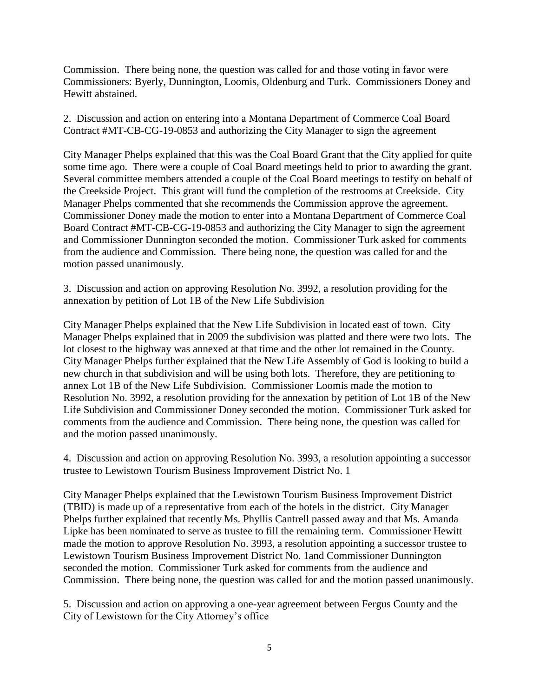Commission. There being none, the question was called for and those voting in favor were Commissioners: Byerly, Dunnington, Loomis, Oldenburg and Turk. Commissioners Doney and Hewitt abstained.

2. Discussion and action on entering into a Montana Department of Commerce Coal Board Contract #MT-CB-CG-19-0853 and authorizing the City Manager to sign the agreement

City Manager Phelps explained that this was the Coal Board Grant that the City applied for quite some time ago. There were a couple of Coal Board meetings held to prior to awarding the grant. Several committee members attended a couple of the Coal Board meetings to testify on behalf of the Creekside Project. This grant will fund the completion of the restrooms at Creekside. City Manager Phelps commented that she recommends the Commission approve the agreement. Commissioner Doney made the motion to enter into a Montana Department of Commerce Coal Board Contract #MT-CB-CG-19-0853 and authorizing the City Manager to sign the agreement and Commissioner Dunnington seconded the motion. Commissioner Turk asked for comments from the audience and Commission. There being none, the question was called for and the motion passed unanimously.

3. Discussion and action on approving Resolution No. 3992, a resolution providing for the annexation by petition of Lot 1B of the New Life Subdivision

City Manager Phelps explained that the New Life Subdivision in located east of town. City Manager Phelps explained that in 2009 the subdivision was platted and there were two lots. The lot closest to the highway was annexed at that time and the other lot remained in the County. City Manager Phelps further explained that the New Life Assembly of God is looking to build a new church in that subdivision and will be using both lots. Therefore, they are petitioning to annex Lot 1B of the New Life Subdivision. Commissioner Loomis made the motion to Resolution No. 3992, a resolution providing for the annexation by petition of Lot 1B of the New Life Subdivision and Commissioner Doney seconded the motion. Commissioner Turk asked for comments from the audience and Commission. There being none, the question was called for and the motion passed unanimously.

4. Discussion and action on approving Resolution No. 3993, a resolution appointing a successor trustee to Lewistown Tourism Business Improvement District No. 1

City Manager Phelps explained that the Lewistown Tourism Business Improvement District (TBID) is made up of a representative from each of the hotels in the district. City Manager Phelps further explained that recently Ms. Phyllis Cantrell passed away and that Ms. Amanda Lipke has been nominated to serve as trustee to fill the remaining term. Commissioner Hewitt made the motion to approve Resolution No. 3993, a resolution appointing a successor trustee to Lewistown Tourism Business Improvement District No. 1and Commissioner Dunnington seconded the motion. Commissioner Turk asked for comments from the audience and Commission. There being none, the question was called for and the motion passed unanimously.

5. Discussion and action on approving a one-year agreement between Fergus County and the City of Lewistown for the City Attorney's office